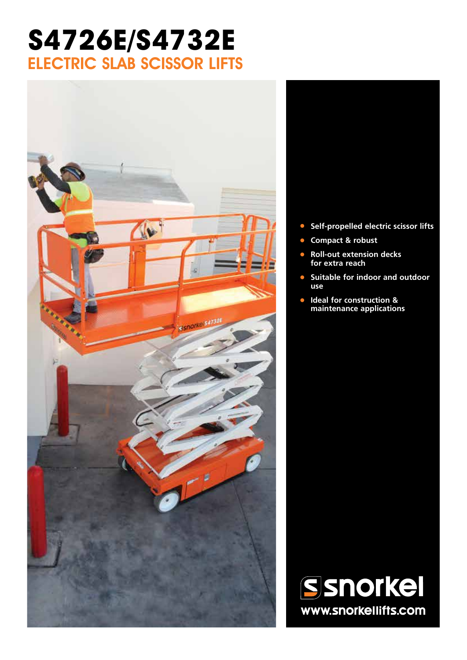# **S4726E/S4732E** ELECTRIC SLAB SCISSOR LIFTS



- **• Self-propelled electric scissor lifts**
- **• Compact & robust**
- **• Roll-out extension decks for extra reach**
- **• Suitable for indoor and outdoor use**
- **• Ideal for construction & maintenance applications**